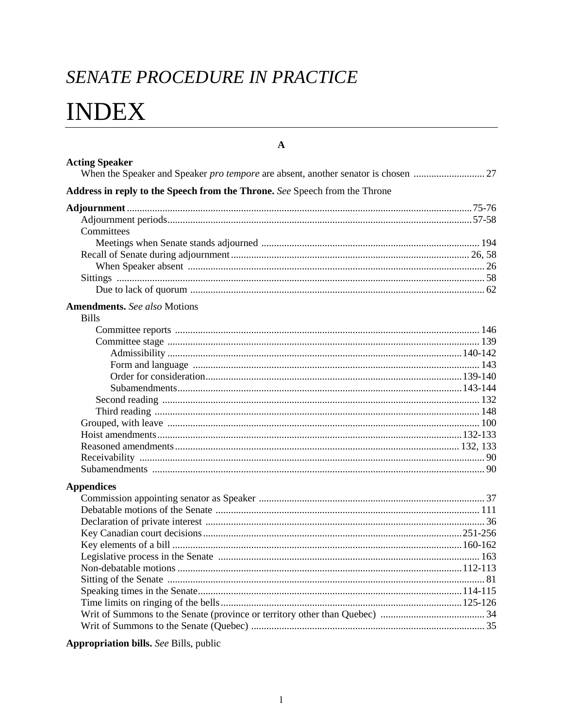## SENATE PROCEDURE IN PRACTICE

# **INDEX**

| <b>Acting Speaker</b>                                                      |  |
|----------------------------------------------------------------------------|--|
| Address in reply to the Speech from the Throne. See Speech from the Throne |  |
|                                                                            |  |
|                                                                            |  |
| Committees                                                                 |  |
|                                                                            |  |
|                                                                            |  |
|                                                                            |  |
|                                                                            |  |
|                                                                            |  |
|                                                                            |  |
| <b>Amendments.</b> See also Motions<br><b>Bills</b>                        |  |
|                                                                            |  |
|                                                                            |  |
|                                                                            |  |
|                                                                            |  |
|                                                                            |  |
|                                                                            |  |
|                                                                            |  |
|                                                                            |  |
|                                                                            |  |
|                                                                            |  |
|                                                                            |  |
|                                                                            |  |
|                                                                            |  |
|                                                                            |  |
| <b>Appendices</b>                                                          |  |
|                                                                            |  |
|                                                                            |  |
|                                                                            |  |
|                                                                            |  |
|                                                                            |  |
|                                                                            |  |
|                                                                            |  |
|                                                                            |  |
|                                                                            |  |
|                                                                            |  |
|                                                                            |  |
|                                                                            |  |

 $\mathbf{A}$ 

### Appropriation bills. See Bills, public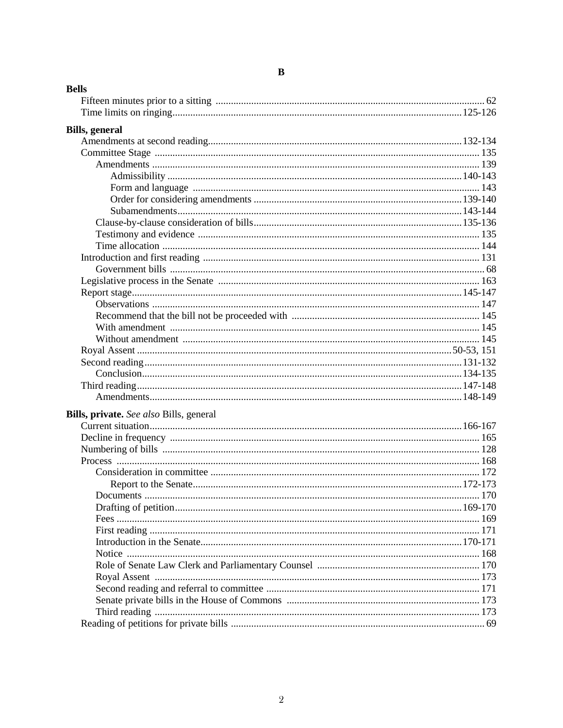| <b>Bills, general</b> | <b>Bells</b>                            |  |
|-----------------------|-----------------------------------------|--|
|                       |                                         |  |
|                       |                                         |  |
|                       |                                         |  |
|                       |                                         |  |
|                       |                                         |  |
|                       |                                         |  |
|                       |                                         |  |
|                       |                                         |  |
|                       |                                         |  |
|                       |                                         |  |
|                       |                                         |  |
|                       |                                         |  |
|                       |                                         |  |
|                       |                                         |  |
|                       |                                         |  |
|                       |                                         |  |
|                       |                                         |  |
|                       |                                         |  |
|                       |                                         |  |
|                       |                                         |  |
|                       |                                         |  |
|                       |                                         |  |
|                       |                                         |  |
|                       |                                         |  |
|                       |                                         |  |
|                       |                                         |  |
|                       |                                         |  |
|                       | Bills, private. See also Bills, general |  |
|                       |                                         |  |
|                       |                                         |  |
|                       |                                         |  |
|                       |                                         |  |
|                       |                                         |  |
|                       |                                         |  |
|                       |                                         |  |
|                       |                                         |  |
|                       |                                         |  |
|                       |                                         |  |
|                       |                                         |  |
|                       |                                         |  |
|                       |                                         |  |
|                       |                                         |  |
|                       |                                         |  |
|                       |                                         |  |
|                       |                                         |  |
|                       |                                         |  |

### $\bf{B}$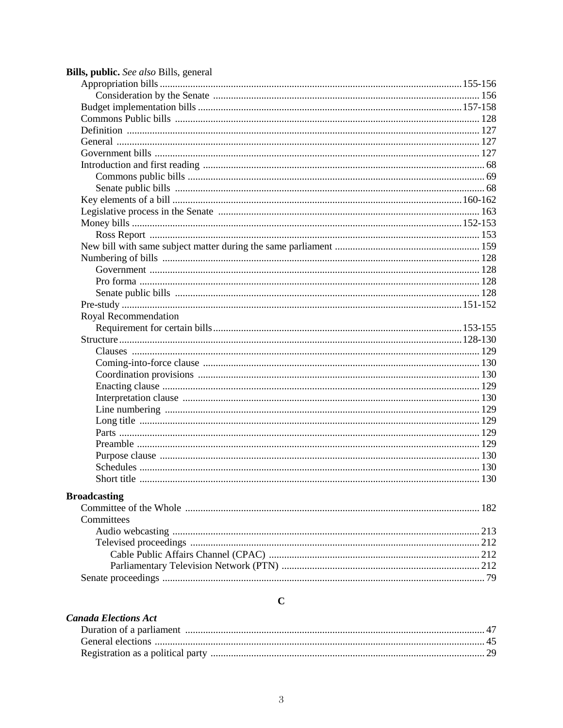| Bills, public. See also Bills, general |  |
|----------------------------------------|--|
|                                        |  |
|                                        |  |
|                                        |  |
|                                        |  |
|                                        |  |
|                                        |  |
|                                        |  |
|                                        |  |
|                                        |  |
|                                        |  |
|                                        |  |
|                                        |  |
|                                        |  |
|                                        |  |
|                                        |  |
|                                        |  |
|                                        |  |
|                                        |  |
|                                        |  |
|                                        |  |
| Royal Recommendation                   |  |
|                                        |  |
|                                        |  |
|                                        |  |
|                                        |  |
|                                        |  |
|                                        |  |
|                                        |  |
|                                        |  |
|                                        |  |
|                                        |  |
|                                        |  |
|                                        |  |
|                                        |  |
|                                        |  |
| <b>Broadcasting</b>                    |  |
|                                        |  |
| Committees                             |  |
|                                        |  |
|                                        |  |
|                                        |  |
|                                        |  |
|                                        |  |
|                                        |  |

### $\mathbf C$

| <b>Canada Elections Act</b> |  |
|-----------------------------|--|
|                             |  |
|                             |  |
|                             |  |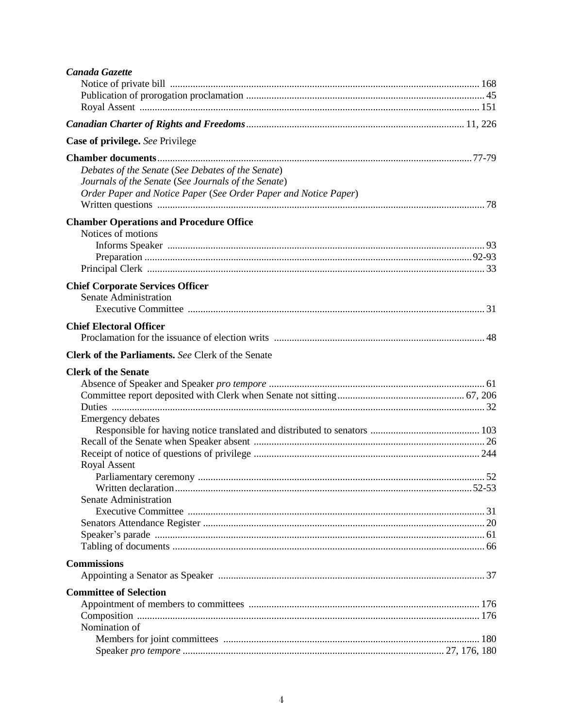| Canada Gazette                                                  |  |
|-----------------------------------------------------------------|--|
|                                                                 |  |
|                                                                 |  |
|                                                                 |  |
|                                                                 |  |
| Case of privilege. See Privilege                                |  |
|                                                                 |  |
| Debates of the Senate (See Debates of the Senate)               |  |
| Journals of the Senate (See Journals of the Senate)             |  |
| Order Paper and Notice Paper (See Order Paper and Notice Paper) |  |
|                                                                 |  |
| <b>Chamber Operations and Procedure Office</b>                  |  |
| Notices of motions                                              |  |
|                                                                 |  |
|                                                                 |  |
|                                                                 |  |
| <b>Chief Corporate Services Officer</b>                         |  |
| Senate Administration                                           |  |
|                                                                 |  |
|                                                                 |  |
| <b>Chief Electoral Officer</b>                                  |  |
|                                                                 |  |
| <b>Clerk of the Parliaments.</b> See Clerk of the Senate        |  |
| <b>Clerk of the Senate</b>                                      |  |
|                                                                 |  |
|                                                                 |  |
|                                                                 |  |
| <b>Emergency debates</b>                                        |  |
|                                                                 |  |
|                                                                 |  |
|                                                                 |  |
| <b>Royal Assent</b>                                             |  |
|                                                                 |  |
|                                                                 |  |
| Senate Administration                                           |  |
|                                                                 |  |
|                                                                 |  |
|                                                                 |  |
|                                                                 |  |
| <b>Commissions</b>                                              |  |
|                                                                 |  |
| <b>Committee of Selection</b>                                   |  |
|                                                                 |  |
|                                                                 |  |
| Nomination of                                                   |  |
|                                                                 |  |
|                                                                 |  |
|                                                                 |  |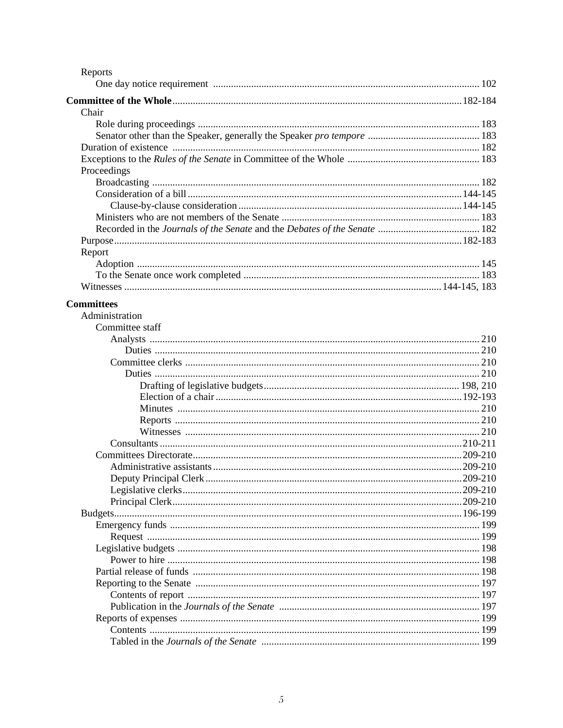| Reports           |  |
|-------------------|--|
|                   |  |
|                   |  |
| Chair             |  |
|                   |  |
|                   |  |
|                   |  |
|                   |  |
| Proceedings       |  |
|                   |  |
|                   |  |
|                   |  |
|                   |  |
|                   |  |
|                   |  |
| Report            |  |
|                   |  |
|                   |  |
|                   |  |
|                   |  |
| <b>Committees</b> |  |
| Administration    |  |
| Committee staff   |  |
|                   |  |
|                   |  |
|                   |  |
|                   |  |
|                   |  |
|                   |  |
|                   |  |
|                   |  |
|                   |  |
|                   |  |
|                   |  |
|                   |  |
|                   |  |
|                   |  |
|                   |  |
|                   |  |
|                   |  |
|                   |  |
|                   |  |
|                   |  |
|                   |  |
|                   |  |
|                   |  |
|                   |  |
|                   |  |
|                   |  |
|                   |  |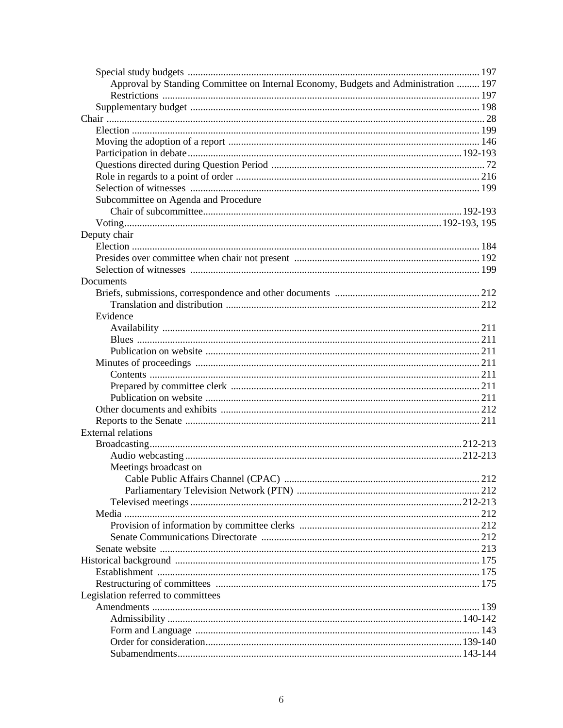| Approval by Standing Committee on Internal Economy, Budgets and Administration  197 |  |
|-------------------------------------------------------------------------------------|--|
|                                                                                     |  |
|                                                                                     |  |
|                                                                                     |  |
|                                                                                     |  |
|                                                                                     |  |
|                                                                                     |  |
|                                                                                     |  |
|                                                                                     |  |
|                                                                                     |  |
| Subcommittee on Agenda and Procedure                                                |  |
|                                                                                     |  |
|                                                                                     |  |
| Deputy chair                                                                        |  |
|                                                                                     |  |
|                                                                                     |  |
|                                                                                     |  |
| Documents                                                                           |  |
|                                                                                     |  |
|                                                                                     |  |
| Evidence                                                                            |  |
|                                                                                     |  |
|                                                                                     |  |
|                                                                                     |  |
|                                                                                     |  |
|                                                                                     |  |
|                                                                                     |  |
|                                                                                     |  |
|                                                                                     |  |
|                                                                                     |  |
| <b>External relations</b>                                                           |  |
|                                                                                     |  |
|                                                                                     |  |
| Meetings broadcast on                                                               |  |
|                                                                                     |  |
|                                                                                     |  |
|                                                                                     |  |
|                                                                                     |  |
|                                                                                     |  |
|                                                                                     |  |
|                                                                                     |  |
|                                                                                     |  |
|                                                                                     |  |
|                                                                                     |  |
|                                                                                     |  |
| Legislation referred to committees                                                  |  |
|                                                                                     |  |
|                                                                                     |  |
|                                                                                     |  |
|                                                                                     |  |
|                                                                                     |  |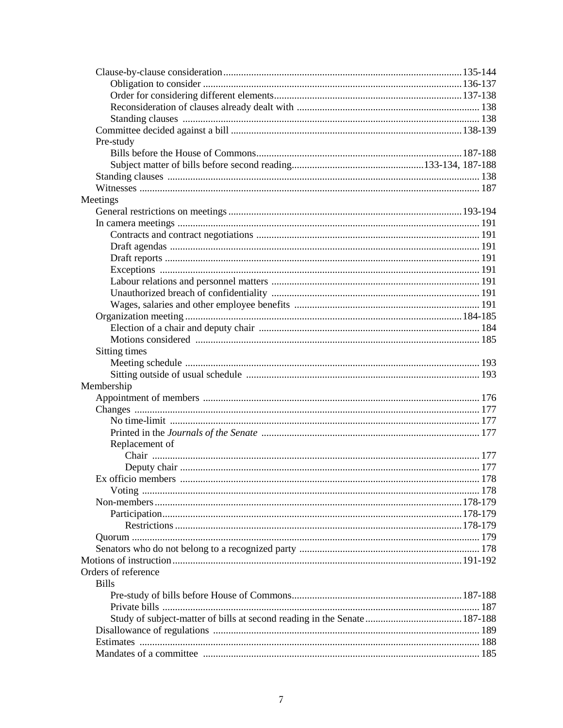| Pre-study                                                                 |  |
|---------------------------------------------------------------------------|--|
|                                                                           |  |
|                                                                           |  |
|                                                                           |  |
|                                                                           |  |
| Meetings                                                                  |  |
|                                                                           |  |
|                                                                           |  |
|                                                                           |  |
|                                                                           |  |
|                                                                           |  |
|                                                                           |  |
|                                                                           |  |
|                                                                           |  |
|                                                                           |  |
|                                                                           |  |
|                                                                           |  |
|                                                                           |  |
| Sitting times                                                             |  |
|                                                                           |  |
|                                                                           |  |
| Membership                                                                |  |
|                                                                           |  |
|                                                                           |  |
|                                                                           |  |
|                                                                           |  |
| Replacement of                                                            |  |
|                                                                           |  |
|                                                                           |  |
|                                                                           |  |
|                                                                           |  |
|                                                                           |  |
|                                                                           |  |
|                                                                           |  |
|                                                                           |  |
|                                                                           |  |
|                                                                           |  |
| Orders of reference<br><b>Bills</b>                                       |  |
|                                                                           |  |
|                                                                           |  |
| Study of subject-matter of bills at second reading in the Senate  187-188 |  |
|                                                                           |  |
|                                                                           |  |
|                                                                           |  |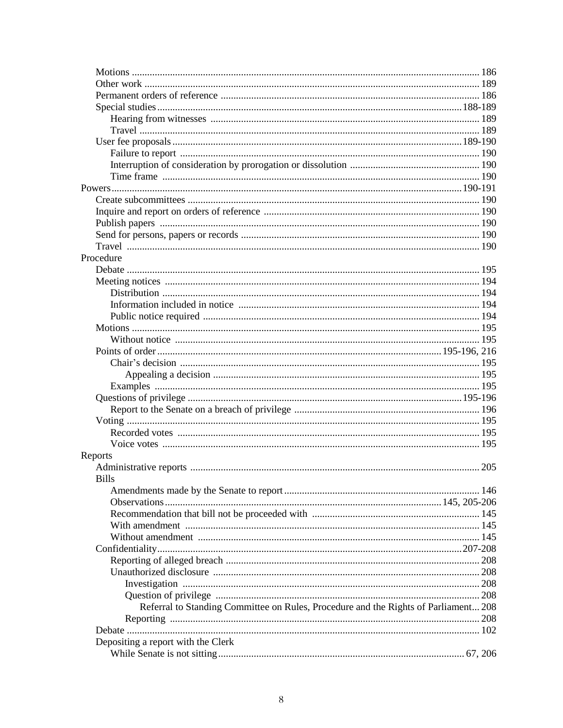| Procedure                                                                           |     |
|-------------------------------------------------------------------------------------|-----|
|                                                                                     |     |
|                                                                                     |     |
|                                                                                     |     |
|                                                                                     |     |
|                                                                                     |     |
|                                                                                     |     |
|                                                                                     |     |
|                                                                                     |     |
|                                                                                     |     |
|                                                                                     |     |
|                                                                                     |     |
|                                                                                     |     |
|                                                                                     |     |
|                                                                                     |     |
|                                                                                     |     |
|                                                                                     |     |
| Reports                                                                             |     |
|                                                                                     |     |
| <b>Bills</b>                                                                        |     |
|                                                                                     |     |
|                                                                                     |     |
|                                                                                     |     |
|                                                                                     |     |
|                                                                                     |     |
|                                                                                     |     |
|                                                                                     |     |
|                                                                                     |     |
|                                                                                     |     |
|                                                                                     |     |
|                                                                                     |     |
| Referral to Standing Committee on Rules, Procedure and the Rights of Parliament 208 |     |
|                                                                                     | 208 |
|                                                                                     |     |
| Depositing a report with the Clerk                                                  |     |
|                                                                                     |     |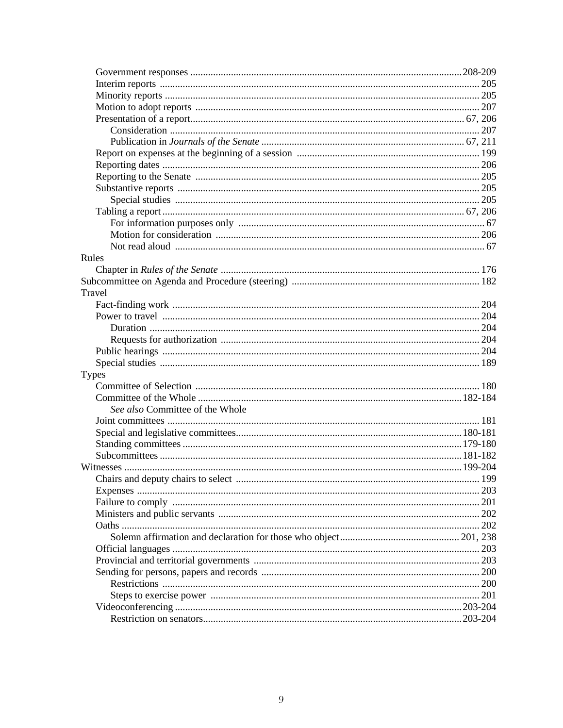| Rules                           |  |
|---------------------------------|--|
|                                 |  |
|                                 |  |
| Travel                          |  |
|                                 |  |
|                                 |  |
|                                 |  |
|                                 |  |
|                                 |  |
|                                 |  |
| Types                           |  |
|                                 |  |
|                                 |  |
| See also Committee of the Whole |  |
|                                 |  |
|                                 |  |
|                                 |  |
|                                 |  |
|                                 |  |
|                                 |  |
|                                 |  |
|                                 |  |
|                                 |  |
|                                 |  |
|                                 |  |
|                                 |  |
|                                 |  |
|                                 |  |
|                                 |  |
|                                 |  |
|                                 |  |
|                                 |  |
|                                 |  |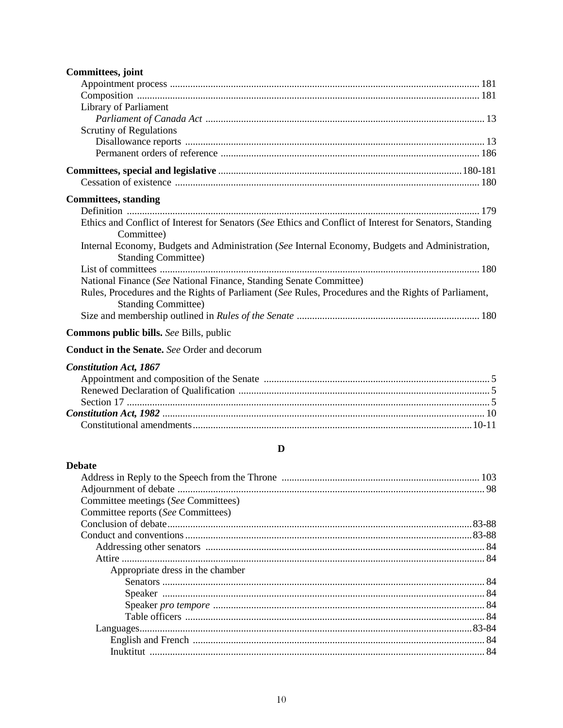| Committees, joint                                                                                                                 |
|-----------------------------------------------------------------------------------------------------------------------------------|
|                                                                                                                                   |
|                                                                                                                                   |
| Library of Parliament                                                                                                             |
|                                                                                                                                   |
| <b>Scrutiny of Regulations</b>                                                                                                    |
|                                                                                                                                   |
|                                                                                                                                   |
|                                                                                                                                   |
|                                                                                                                                   |
| <b>Committees</b> , standing                                                                                                      |
|                                                                                                                                   |
| Ethics and Conflict of Interest for Senators (See Ethics and Conflict of Interest for Senators, Standing<br>Committee)            |
| Internal Economy, Budgets and Administration (See Internal Economy, Budgets and Administration,<br><b>Standing Committee)</b>     |
| National Finance (See National Finance, Standing Senate Committee)                                                                |
| Rules, Procedures and the Rights of Parliament (See Rules, Procedures and the Rights of Parliament,<br><b>Standing Committee)</b> |
|                                                                                                                                   |
| <b>Commons public bills.</b> See Bills, public                                                                                    |
| <b>Conduct in the Senate.</b> See Order and decorum                                                                               |
| <b>Constitution Act, 1867</b>                                                                                                     |
|                                                                                                                                   |
|                                                                                                                                   |
|                                                                                                                                   |
|                                                                                                                                   |
| D                                                                                                                                 |
| <b>Debate</b>                                                                                                                     |
| Address in Reply to the Speech from the Throne.<br>103                                                                            |
|                                                                                                                                   |
| Committee meetings (See Committees)                                                                                               |
| Committee reports (See Committees)                                                                                                |
|                                                                                                                                   |
|                                                                                                                                   |
|                                                                                                                                   |
|                                                                                                                                   |
| Appropriate dress in the chamber                                                                                                  |
|                                                                                                                                   |
|                                                                                                                                   |
|                                                                                                                                   |
|                                                                                                                                   |
|                                                                                                                                   |
|                                                                                                                                   |
|                                                                                                                                   |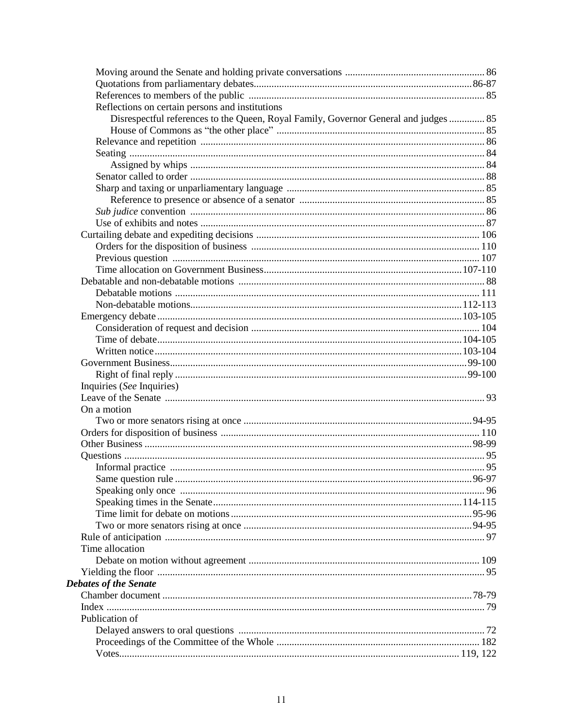| Reflections on certain persons and institutions                                      |  |
|--------------------------------------------------------------------------------------|--|
| Disrespectful references to the Queen, Royal Family, Governor General and judges  85 |  |
|                                                                                      |  |
|                                                                                      |  |
|                                                                                      |  |
|                                                                                      |  |
|                                                                                      |  |
|                                                                                      |  |
|                                                                                      |  |
|                                                                                      |  |
|                                                                                      |  |
|                                                                                      |  |
|                                                                                      |  |
|                                                                                      |  |
|                                                                                      |  |
|                                                                                      |  |
|                                                                                      |  |
|                                                                                      |  |
|                                                                                      |  |
|                                                                                      |  |
|                                                                                      |  |
|                                                                                      |  |
|                                                                                      |  |
|                                                                                      |  |
| Inquiries (See Inquiries)                                                            |  |
|                                                                                      |  |
| On a motion                                                                          |  |
|                                                                                      |  |
|                                                                                      |  |
|                                                                                      |  |
|                                                                                      |  |
|                                                                                      |  |
|                                                                                      |  |
|                                                                                      |  |
|                                                                                      |  |
|                                                                                      |  |
|                                                                                      |  |
|                                                                                      |  |
| Time allocation                                                                      |  |
|                                                                                      |  |
|                                                                                      |  |
| <b>Debates of the Senate</b>                                                         |  |
|                                                                                      |  |
|                                                                                      |  |
| Publication of                                                                       |  |
|                                                                                      |  |
|                                                                                      |  |
|                                                                                      |  |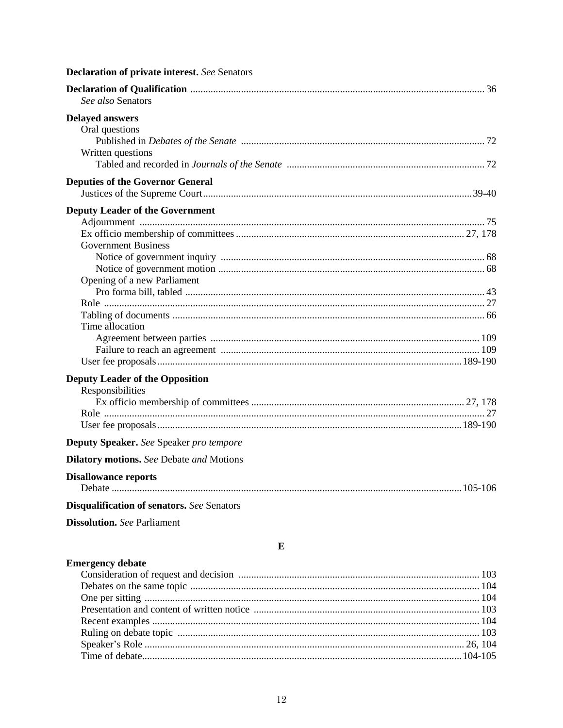| <b>Declaration of private interest.</b> See Senators |
|------------------------------------------------------|
| See also Senators                                    |
| <b>Delayed answers</b>                               |
| Oral questions                                       |
|                                                      |
| Written questions                                    |
|                                                      |
| <b>Deputies of the Governor General</b>              |
|                                                      |
| <b>Deputy Leader of the Government</b>               |
|                                                      |
|                                                      |
| <b>Government Business</b>                           |
|                                                      |
|                                                      |
| Opening of a new Parliament                          |
|                                                      |
|                                                      |
|                                                      |
| Time allocation                                      |
|                                                      |
|                                                      |
|                                                      |
| <b>Deputy Leader of the Opposition</b>               |
| Responsibilities                                     |
|                                                      |
|                                                      |
|                                                      |
| Deputy Speaker. See Speaker pro tempore              |
| <b>Dilatory motions.</b> See Debate and Motions      |
| <b>Disallowance reports</b>                          |
|                                                      |
| <b>Disqualification of senators.</b> See Senators    |
| <b>Dissolution.</b> See Parliament                   |
|                                                      |
| E                                                    |

### **Emergency debate**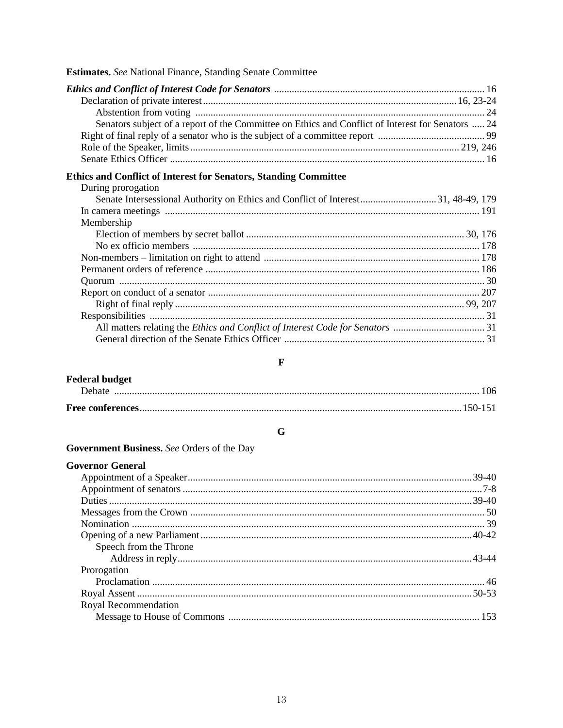| <b>Estimates.</b> See National Finance, Standing Senate Committee                                                                                                                 |  |
|-----------------------------------------------------------------------------------------------------------------------------------------------------------------------------------|--|
| Senators subject of a report of the Committee on Ethics and Conflict of Interest for Senators  24                                                                                 |  |
| <b>Ethics and Conflict of Interest for Senators, Standing Committee</b><br>During prorogation<br>Senate Intersessional Authority on Ethics and Conflict of Interest31, 48-49, 179 |  |
| Membership                                                                                                                                                                        |  |
|                                                                                                                                                                                   |  |
|                                                                                                                                                                                   |  |

### $\mathbf{F}$

| <b>Federal budget</b> |  |
|-----------------------|--|
|                       |  |
|                       |  |

### $\mathbf G$

| Government Business. See Orders of the Day |  |  |  |
|--------------------------------------------|--|--|--|
|                                            |  |  |  |

| <b>Governor General</b> |  |
|-------------------------|--|
|                         |  |
|                         |  |
|                         |  |
|                         |  |
|                         |  |
|                         |  |
| Speech from the Throne  |  |
|                         |  |
| Prorogation             |  |
|                         |  |
|                         |  |
| Royal Recommendation    |  |
|                         |  |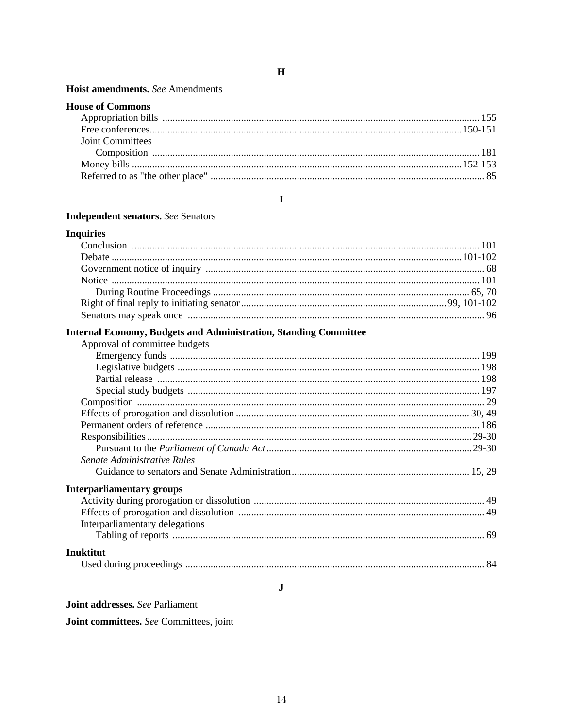#### Hoist amendments. See Amendments

| <b>House of Commons</b> |  |
|-------------------------|--|
|                         |  |
|                         |  |
| <b>Joint Committees</b> |  |
|                         |  |
|                         |  |
|                         |  |

#### $\mathbf I$

#### **Independent senators.** See Senators

#### **Inquiries**

### **Internal Economy, Budgets and Administration, Standing Committee**

| Approval of committee budgets    |  |
|----------------------------------|--|
|                                  |  |
|                                  |  |
|                                  |  |
|                                  |  |
|                                  |  |
|                                  |  |
|                                  |  |
|                                  |  |
|                                  |  |
| Senate Administrative Rules      |  |
|                                  |  |
| <b>Interparliamentary groups</b> |  |
|                                  |  |
|                                  |  |
| Interparliamentary delegations   |  |
|                                  |  |
| Inuktitut                        |  |
|                                  |  |

 $\mathbf{J}$ 

Joint addresses. See Parliament

Joint committees. See Committees, joint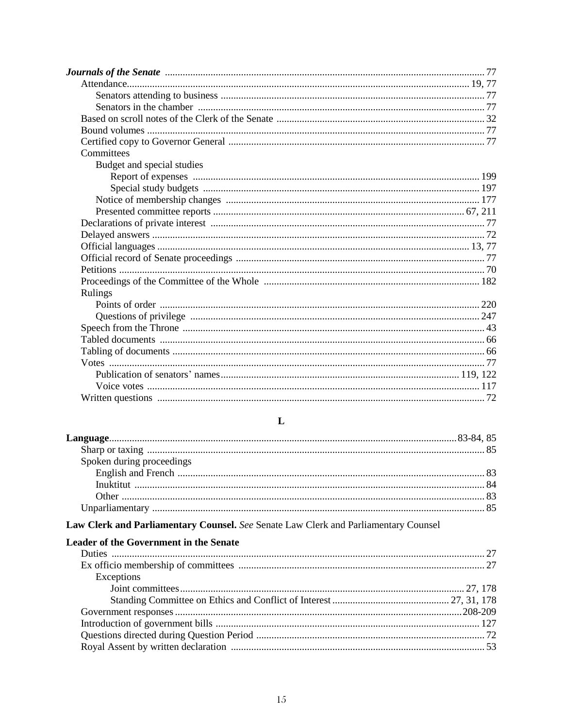| Journals of the Senate <i>manufacture contained a contained a senator</i> and the senate of the Senate manufacture of the Senate manufacture of the Senate manufacture of the Senate manufacture of the Senate manufacture of the S |
|-------------------------------------------------------------------------------------------------------------------------------------------------------------------------------------------------------------------------------------|
|                                                                                                                                                                                                                                     |
|                                                                                                                                                                                                                                     |
|                                                                                                                                                                                                                                     |
|                                                                                                                                                                                                                                     |
|                                                                                                                                                                                                                                     |
|                                                                                                                                                                                                                                     |
| Committees                                                                                                                                                                                                                          |
| Budget and special studies                                                                                                                                                                                                          |
|                                                                                                                                                                                                                                     |
|                                                                                                                                                                                                                                     |
|                                                                                                                                                                                                                                     |
|                                                                                                                                                                                                                                     |
|                                                                                                                                                                                                                                     |
|                                                                                                                                                                                                                                     |
|                                                                                                                                                                                                                                     |
|                                                                                                                                                                                                                                     |
|                                                                                                                                                                                                                                     |
|                                                                                                                                                                                                                                     |
| Rulings                                                                                                                                                                                                                             |
|                                                                                                                                                                                                                                     |
|                                                                                                                                                                                                                                     |
|                                                                                                                                                                                                                                     |
|                                                                                                                                                                                                                                     |
|                                                                                                                                                                                                                                     |
|                                                                                                                                                                                                                                     |
|                                                                                                                                                                                                                                     |
|                                                                                                                                                                                                                                     |
|                                                                                                                                                                                                                                     |

### $\mathbf L$

| Spoken during proceedings |  |
|---------------------------|--|
|                           |  |
|                           |  |
|                           |  |
|                           |  |

### Law Clerk and Parliamentary Counsel. See Senate Law Clerk and Parliamentary Counsel

### **Leader of the Government in the Senate**

| Exceptions |  |
|------------|--|
|            |  |
|            |  |
|            |  |
|            |  |
|            |  |
|            |  |
|            |  |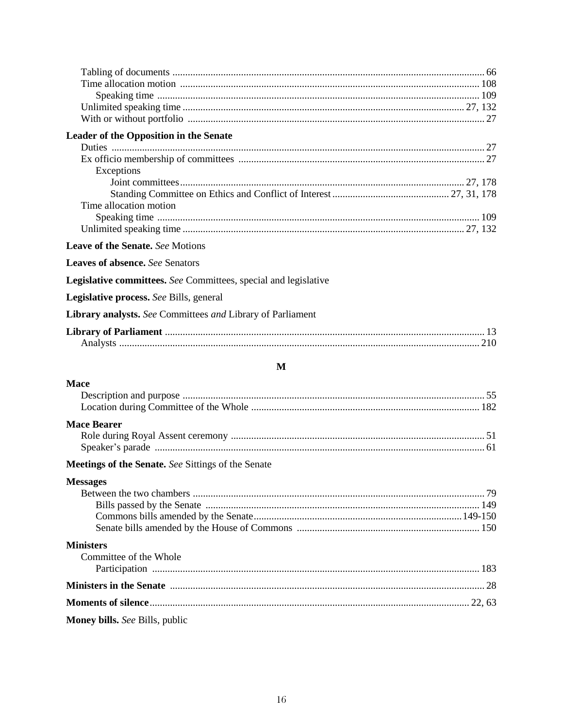| Leader of the Opposition in the Senate                                                              |  |
|-----------------------------------------------------------------------------------------------------|--|
|                                                                                                     |  |
| Exceptions                                                                                          |  |
|                                                                                                     |  |
|                                                                                                     |  |
| Time allocation motion                                                                              |  |
|                                                                                                     |  |
| Leave of the Senate. See Motions                                                                    |  |
| <b>Leaves of absence.</b> See Senators                                                              |  |
| Legislative committees. See Committees, special and legislative                                     |  |
| Legislative process. See Bills, general                                                             |  |
| Library analysts. See Committees and Library of Parliament                                          |  |
|                                                                                                     |  |
| M                                                                                                   |  |
| <b>Mace</b>                                                                                         |  |
|                                                                                                     |  |
|                                                                                                     |  |
| <b>Mace Bearer</b>                                                                                  |  |
|                                                                                                     |  |
|                                                                                                     |  |
| Meetings of the Senate. See Sittings of the Senate                                                  |  |
| <b>Messages</b>                                                                                     |  |
|                                                                                                     |  |
|                                                                                                     |  |
|                                                                                                     |  |
| <b>Ministers</b>                                                                                    |  |
| Committee of the Whole                                                                              |  |
|                                                                                                     |  |
| Ministers in the Senate <i>machine machine and a continuum machine and a continuum machine a</i> 28 |  |
|                                                                                                     |  |
| Money bills. See Bills, public                                                                      |  |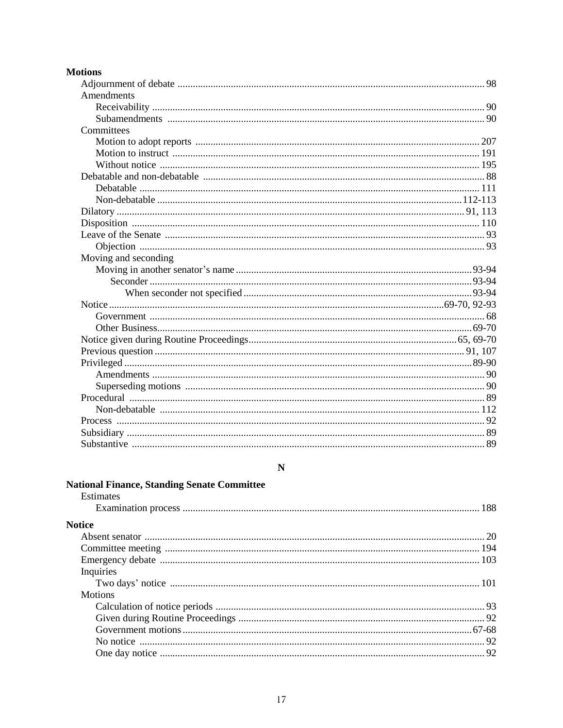|  | Motions |
|--|---------|
|  |         |

| Amendments           |  |
|----------------------|--|
|                      |  |
|                      |  |
| Committees           |  |
|                      |  |
|                      |  |
|                      |  |
|                      |  |
|                      |  |
|                      |  |
|                      |  |
|                      |  |
|                      |  |
|                      |  |
| Moving and seconding |  |
|                      |  |
|                      |  |
|                      |  |
|                      |  |
|                      |  |
|                      |  |
|                      |  |
|                      |  |
|                      |  |
|                      |  |
|                      |  |
|                      |  |
|                      |  |
|                      |  |
|                      |  |
|                      |  |

### $\mathbf N$

| <b>National Finance, Standing Senate Committee</b> |  |
|----------------------------------------------------|--|
| <b>Estimates</b>                                   |  |
|                                                    |  |
| <b>Notice</b>                                      |  |
|                                                    |  |
|                                                    |  |
|                                                    |  |
| Inquiries                                          |  |
|                                                    |  |
| <b>Motions</b>                                     |  |
|                                                    |  |
|                                                    |  |
|                                                    |  |
|                                                    |  |
|                                                    |  |
|                                                    |  |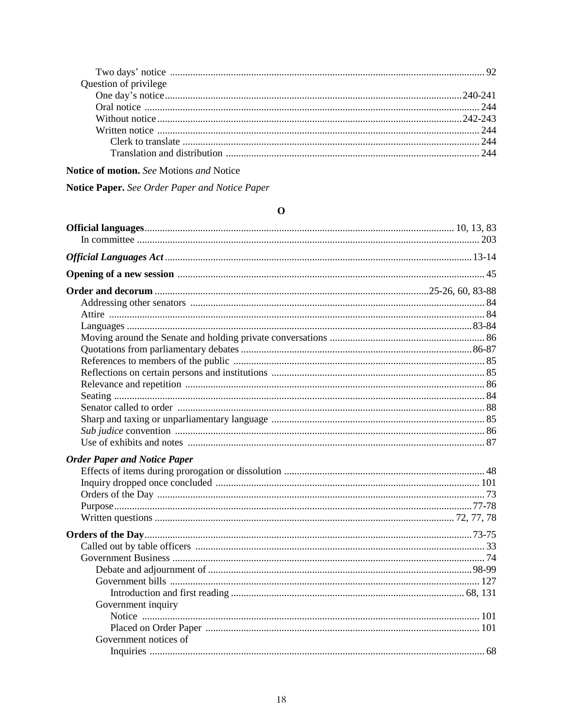| Question of privilege |  |
|-----------------------|--|
|                       |  |
|                       |  |
|                       |  |
|                       |  |
|                       |  |
|                       |  |

### Notice of motion. See Motions and Notice

Notice Paper. See Order Paper and Notice Paper

| O                                   |  |  |
|-------------------------------------|--|--|
|                                     |  |  |
|                                     |  |  |
|                                     |  |  |
|                                     |  |  |
|                                     |  |  |
|                                     |  |  |
|                                     |  |  |
|                                     |  |  |
|                                     |  |  |
|                                     |  |  |
|                                     |  |  |
|                                     |  |  |
|                                     |  |  |
|                                     |  |  |
|                                     |  |  |
|                                     |  |  |
|                                     |  |  |
|                                     |  |  |
| <b>Order Paper and Notice Paper</b> |  |  |
|                                     |  |  |
|                                     |  |  |
|                                     |  |  |
|                                     |  |  |
|                                     |  |  |
|                                     |  |  |
|                                     |  |  |
|                                     |  |  |
|                                     |  |  |
|                                     |  |  |
|                                     |  |  |
| Government inquiry                  |  |  |
|                                     |  |  |
|                                     |  |  |
| Government notices of               |  |  |
|                                     |  |  |
|                                     |  |  |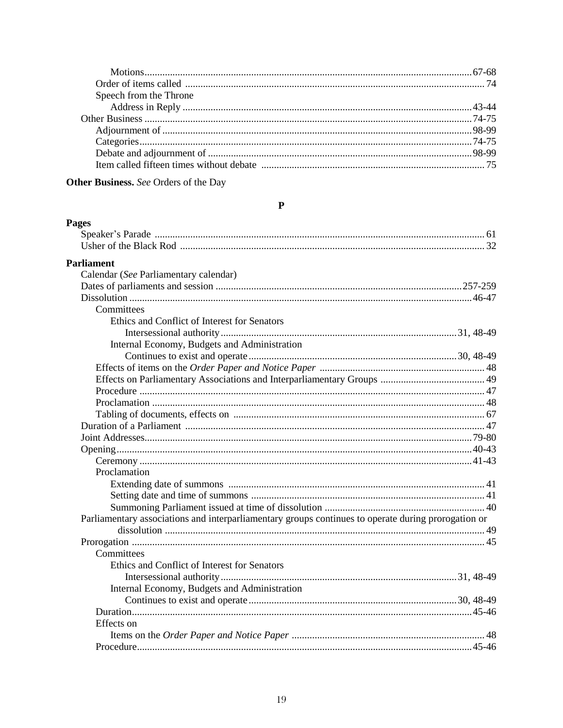| Speech from the Throne |  |
|------------------------|--|
|                        |  |
|                        |  |
|                        |  |
|                        |  |
|                        |  |
|                        |  |

 $\mathbf P$ 

Other Business. See Orders of the Day

#### **Pages**

| <b>Parliament</b>                                                                                   |  |
|-----------------------------------------------------------------------------------------------------|--|
| Calendar (See Parliamentary calendar)                                                               |  |
|                                                                                                     |  |
|                                                                                                     |  |
| Committees                                                                                          |  |
| Ethics and Conflict of Interest for Senators                                                        |  |
|                                                                                                     |  |
| Internal Economy, Budgets and Administration                                                        |  |
|                                                                                                     |  |
|                                                                                                     |  |
|                                                                                                     |  |
|                                                                                                     |  |
|                                                                                                     |  |
|                                                                                                     |  |
|                                                                                                     |  |
|                                                                                                     |  |
|                                                                                                     |  |
|                                                                                                     |  |
| Proclamation                                                                                        |  |
|                                                                                                     |  |
|                                                                                                     |  |
|                                                                                                     |  |
| Parliamentary associations and interparliamentary groups continues to operate during prorogation or |  |
|                                                                                                     |  |
|                                                                                                     |  |
| Committees                                                                                          |  |
| Ethics and Conflict of Interest for Senators                                                        |  |
|                                                                                                     |  |
| Internal Economy, Budgets and Administration                                                        |  |
|                                                                                                     |  |
|                                                                                                     |  |
| Effects on                                                                                          |  |
|                                                                                                     |  |
|                                                                                                     |  |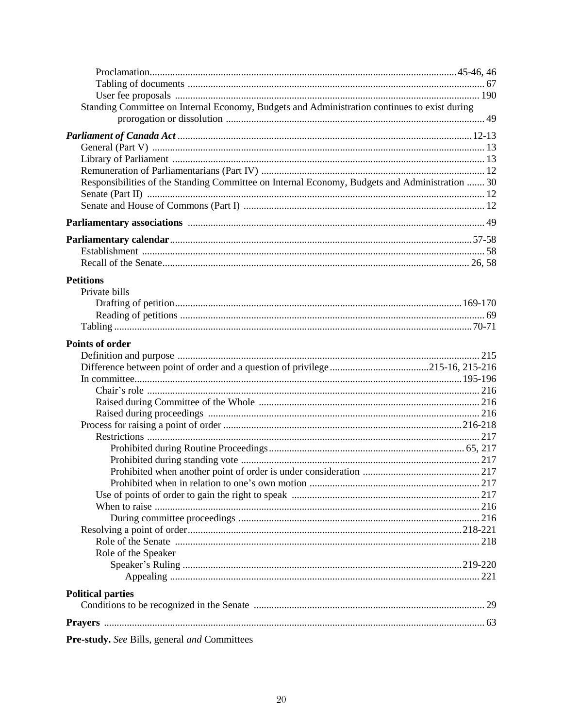| Standing Committee on Internal Economy, Budgets and Administration continues to exist during   |  |
|------------------------------------------------------------------------------------------------|--|
|                                                                                                |  |
|                                                                                                |  |
|                                                                                                |  |
|                                                                                                |  |
| Responsibilities of the Standing Committee on Internal Economy, Budgets and Administration  30 |  |
|                                                                                                |  |
|                                                                                                |  |
|                                                                                                |  |
|                                                                                                |  |
|                                                                                                |  |
|                                                                                                |  |
|                                                                                                |  |
| <b>Petitions</b>                                                                               |  |
| Private bills                                                                                  |  |
|                                                                                                |  |
|                                                                                                |  |
|                                                                                                |  |
| <b>Points of order</b>                                                                         |  |
|                                                                                                |  |
|                                                                                                |  |
|                                                                                                |  |
|                                                                                                |  |
|                                                                                                |  |
|                                                                                                |  |
|                                                                                                |  |
|                                                                                                |  |
|                                                                                                |  |
|                                                                                                |  |
|                                                                                                |  |
|                                                                                                |  |
|                                                                                                |  |
|                                                                                                |  |
|                                                                                                |  |
|                                                                                                |  |
| Role of the Speaker                                                                            |  |
|                                                                                                |  |
|                                                                                                |  |
|                                                                                                |  |
| <b>Political parties</b>                                                                       |  |
|                                                                                                |  |
|                                                                                                |  |
| Pre-study. See Bills, general and Committees                                                   |  |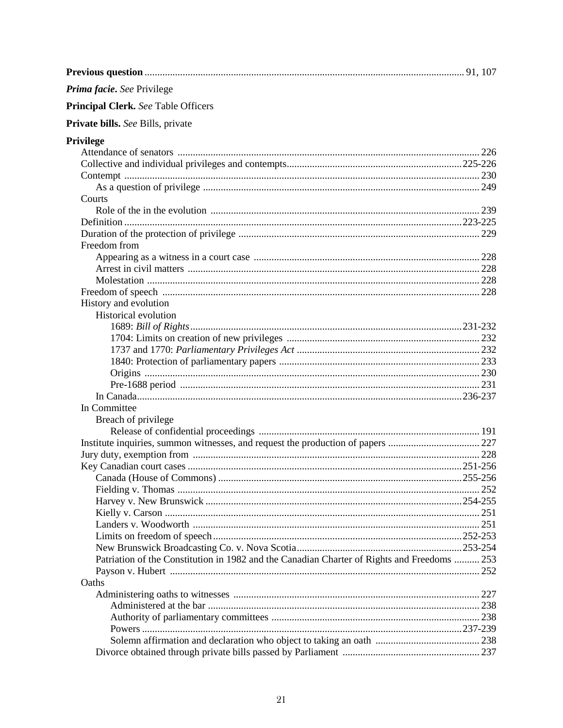| Prima facie. See Privilege                                                                  |              |
|---------------------------------------------------------------------------------------------|--------------|
| <b>Principal Clerk.</b> See Table Officers                                                  |              |
| Private bills. See Bills, private                                                           |              |
| <b>Privilege</b>                                                                            |              |
|                                                                                             |              |
|                                                                                             |              |
|                                                                                             |              |
|                                                                                             |              |
| Courts                                                                                      |              |
|                                                                                             |              |
|                                                                                             |              |
|                                                                                             |              |
| Freedom from                                                                                |              |
|                                                                                             |              |
|                                                                                             |              |
|                                                                                             |              |
|                                                                                             |              |
| History and evolution                                                                       |              |
| Historical evolution                                                                        |              |
|                                                                                             |              |
|                                                                                             |              |
|                                                                                             |              |
|                                                                                             |              |
|                                                                                             |              |
|                                                                                             |              |
|                                                                                             |              |
| In Committee                                                                                |              |
| Breach of privilege                                                                         |              |
|                                                                                             |              |
|                                                                                             |              |
|                                                                                             |              |
|                                                                                             |              |
|                                                                                             | $.255 - 256$ |
|                                                                                             |              |
|                                                                                             |              |
|                                                                                             |              |
|                                                                                             |              |
|                                                                                             |              |
|                                                                                             |              |
| Patriation of the Constitution in 1982 and the Canadian Charter of Rights and Freedoms  253 |              |
|                                                                                             |              |
| Oaths                                                                                       |              |
|                                                                                             |              |
|                                                                                             |              |
|                                                                                             |              |
|                                                                                             | 238          |
|                                                                                             |              |
|                                                                                             |              |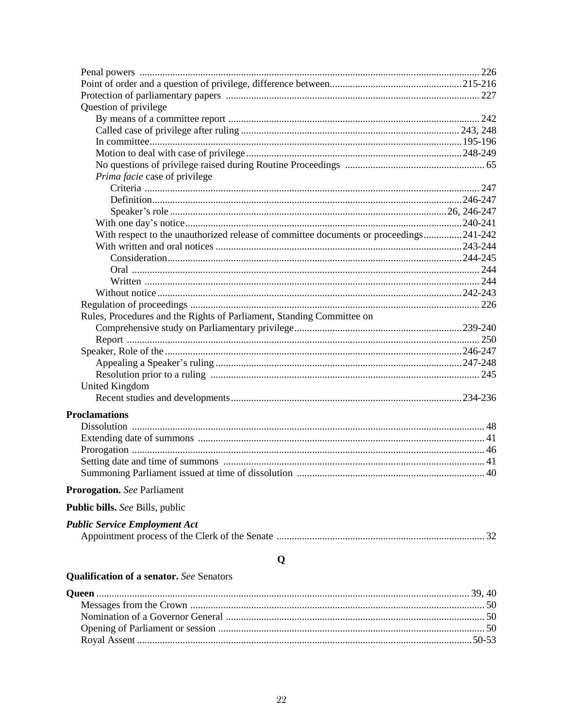| Question of privilege<br>Prima facie case of privilege<br>With respect to the unauthorized release of committee documents or proceedings241-242<br>Rules, Procedures and the Rights of Parliament, Standing Committee on<br><b>United Kingdom</b><br><b>Proclamations</b><br><b>Prorogation.</b> See Parliament<br><b>Public bills.</b> See Bills, public<br><b>Public Service Employment Act</b><br>Q<br><b>Qualification of a senator.</b> See Senators |  |
|-----------------------------------------------------------------------------------------------------------------------------------------------------------------------------------------------------------------------------------------------------------------------------------------------------------------------------------------------------------------------------------------------------------------------------------------------------------|--|
|                                                                                                                                                                                                                                                                                                                                                                                                                                                           |  |
|                                                                                                                                                                                                                                                                                                                                                                                                                                                           |  |
|                                                                                                                                                                                                                                                                                                                                                                                                                                                           |  |
|                                                                                                                                                                                                                                                                                                                                                                                                                                                           |  |
|                                                                                                                                                                                                                                                                                                                                                                                                                                                           |  |
|                                                                                                                                                                                                                                                                                                                                                                                                                                                           |  |
|                                                                                                                                                                                                                                                                                                                                                                                                                                                           |  |
|                                                                                                                                                                                                                                                                                                                                                                                                                                                           |  |
|                                                                                                                                                                                                                                                                                                                                                                                                                                                           |  |
|                                                                                                                                                                                                                                                                                                                                                                                                                                                           |  |
|                                                                                                                                                                                                                                                                                                                                                                                                                                                           |  |
|                                                                                                                                                                                                                                                                                                                                                                                                                                                           |  |
|                                                                                                                                                                                                                                                                                                                                                                                                                                                           |  |
|                                                                                                                                                                                                                                                                                                                                                                                                                                                           |  |
|                                                                                                                                                                                                                                                                                                                                                                                                                                                           |  |
|                                                                                                                                                                                                                                                                                                                                                                                                                                                           |  |
|                                                                                                                                                                                                                                                                                                                                                                                                                                                           |  |
|                                                                                                                                                                                                                                                                                                                                                                                                                                                           |  |
|                                                                                                                                                                                                                                                                                                                                                                                                                                                           |  |
|                                                                                                                                                                                                                                                                                                                                                                                                                                                           |  |
|                                                                                                                                                                                                                                                                                                                                                                                                                                                           |  |
|                                                                                                                                                                                                                                                                                                                                                                                                                                                           |  |
|                                                                                                                                                                                                                                                                                                                                                                                                                                                           |  |
|                                                                                                                                                                                                                                                                                                                                                                                                                                                           |  |
|                                                                                                                                                                                                                                                                                                                                                                                                                                                           |  |
|                                                                                                                                                                                                                                                                                                                                                                                                                                                           |  |
|                                                                                                                                                                                                                                                                                                                                                                                                                                                           |  |
|                                                                                                                                                                                                                                                                                                                                                                                                                                                           |  |
|                                                                                                                                                                                                                                                                                                                                                                                                                                                           |  |
|                                                                                                                                                                                                                                                                                                                                                                                                                                                           |  |
|                                                                                                                                                                                                                                                                                                                                                                                                                                                           |  |
|                                                                                                                                                                                                                                                                                                                                                                                                                                                           |  |
|                                                                                                                                                                                                                                                                                                                                                                                                                                                           |  |
|                                                                                                                                                                                                                                                                                                                                                                                                                                                           |  |
|                                                                                                                                                                                                                                                                                                                                                                                                                                                           |  |
|                                                                                                                                                                                                                                                                                                                                                                                                                                                           |  |
|                                                                                                                                                                                                                                                                                                                                                                                                                                                           |  |
|                                                                                                                                                                                                                                                                                                                                                                                                                                                           |  |
|                                                                                                                                                                                                                                                                                                                                                                                                                                                           |  |
|                                                                                                                                                                                                                                                                                                                                                                                                                                                           |  |
|                                                                                                                                                                                                                                                                                                                                                                                                                                                           |  |
|                                                                                                                                                                                                                                                                                                                                                                                                                                                           |  |
|                                                                                                                                                                                                                                                                                                                                                                                                                                                           |  |
|                                                                                                                                                                                                                                                                                                                                                                                                                                                           |  |
|                                                                                                                                                                                                                                                                                                                                                                                                                                                           |  |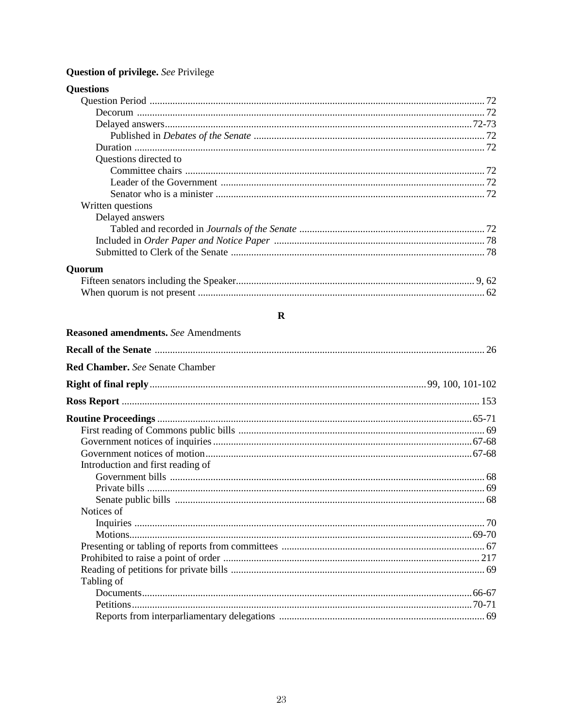### Question of privilege. See Privilege

| Questions directed to |  |
|-----------------------|--|
|                       |  |
|                       |  |
|                       |  |
| Written questions     |  |
| Delayed answers       |  |
|                       |  |
|                       |  |
|                       |  |
| Ouorum                |  |
|                       |  |
|                       |  |

### $\mathbf R$

| <b>Reasoned amendments.</b> See Amendments |  |
|--------------------------------------------|--|
|                                            |  |
| <b>Red Chamber, See Senate Chamber</b>     |  |
|                                            |  |
|                                            |  |
|                                            |  |
|                                            |  |
|                                            |  |
|                                            |  |
| Introduction and first reading of          |  |
|                                            |  |
|                                            |  |
|                                            |  |
| Notices of                                 |  |
|                                            |  |
|                                            |  |
|                                            |  |
|                                            |  |
|                                            |  |
| Tabling of                                 |  |
|                                            |  |
|                                            |  |
|                                            |  |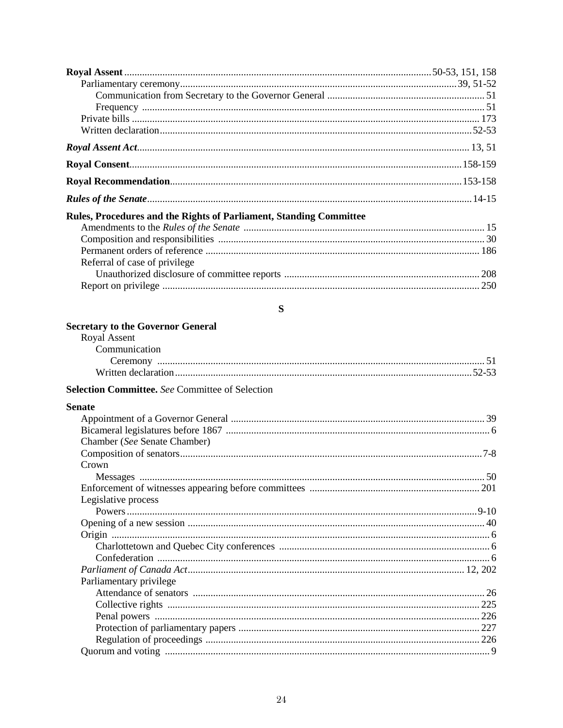| Rules, Procedures and the Rights of Parliament, Standing Committee |    |
|--------------------------------------------------------------------|----|
|                                                                    |    |
|                                                                    |    |
|                                                                    |    |
| Referral of case of privilege                                      |    |
|                                                                    |    |
|                                                                    |    |
| S                                                                  |    |
| <b>Secretary to the Governor General</b>                           |    |
| Royal Assent                                                       |    |
| Communication                                                      |    |
|                                                                    |    |
|                                                                    |    |
| <b>Selection Committee.</b> See Committee of Selection             |    |
| <b>Senate</b>                                                      |    |
|                                                                    |    |
|                                                                    |    |
| Chamber (See Senate Chamber)                                       |    |
|                                                                    |    |
| Crown                                                              |    |
| Messages                                                           | 50 |
|                                                                    |    |
| Legislative process                                                |    |
|                                                                    |    |
|                                                                    |    |
|                                                                    |    |
|                                                                    |    |
|                                                                    |    |
| Parliamentary privilege                                            |    |
|                                                                    |    |
|                                                                    |    |
|                                                                    |    |
|                                                                    |    |
|                                                                    |    |
|                                                                    |    |
|                                                                    |    |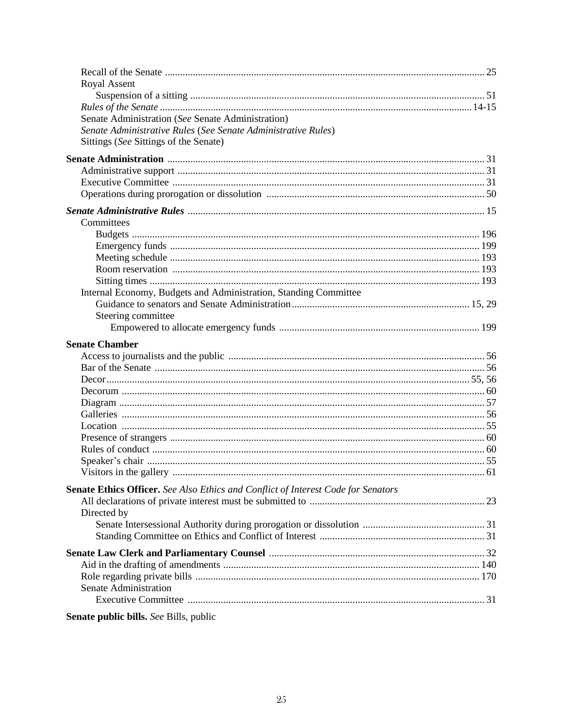| <b>Royal Assent</b>                                                                                    |  |
|--------------------------------------------------------------------------------------------------------|--|
|                                                                                                        |  |
|                                                                                                        |  |
| Senate Administration (See Senate Administration)                                                      |  |
| Senate Administrative Rules (See Senate Administrative Rules)<br>Sittings (See Sittings of the Senate) |  |
|                                                                                                        |  |
|                                                                                                        |  |
|                                                                                                        |  |
|                                                                                                        |  |
|                                                                                                        |  |
|                                                                                                        |  |
| Committees                                                                                             |  |
|                                                                                                        |  |
|                                                                                                        |  |
|                                                                                                        |  |
|                                                                                                        |  |
|                                                                                                        |  |
| Internal Economy, Budgets and Administration, Standing Committee                                       |  |
| Steering committee                                                                                     |  |
|                                                                                                        |  |
|                                                                                                        |  |
| <b>Senate Chamber</b>                                                                                  |  |
|                                                                                                        |  |
|                                                                                                        |  |
|                                                                                                        |  |
|                                                                                                        |  |
|                                                                                                        |  |
|                                                                                                        |  |
|                                                                                                        |  |
|                                                                                                        |  |
|                                                                                                        |  |
|                                                                                                        |  |
| Senate Ethics Officer. See Also Ethics and Conflict of Interest Code for Senators                      |  |
|                                                                                                        |  |
| Directed by                                                                                            |  |
|                                                                                                        |  |
|                                                                                                        |  |
|                                                                                                        |  |
|                                                                                                        |  |
|                                                                                                        |  |
| Senate Administration                                                                                  |  |
|                                                                                                        |  |
|                                                                                                        |  |
| <b>Senate public bills.</b> See Bills, public                                                          |  |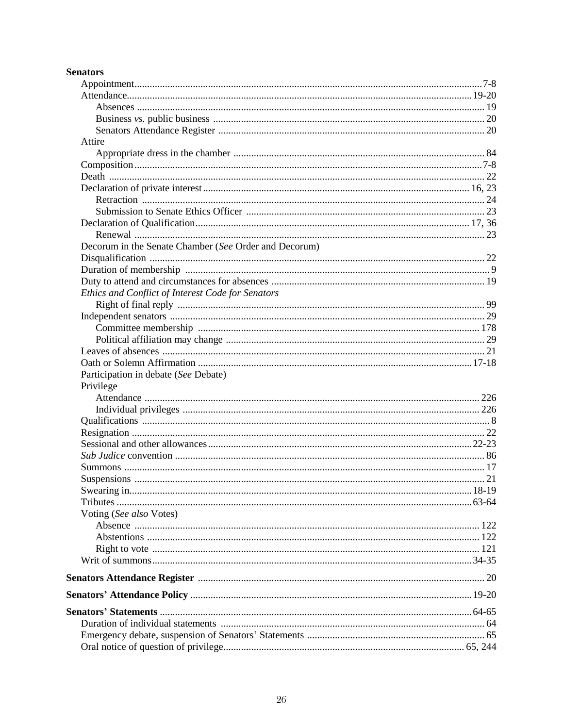### **Senators**

| Attire                                                |         |
|-------------------------------------------------------|---------|
|                                                       |         |
|                                                       |         |
|                                                       |         |
|                                                       |         |
|                                                       |         |
|                                                       |         |
|                                                       |         |
|                                                       |         |
| Decorum in the Senate Chamber (See Order and Decorum) |         |
|                                                       |         |
|                                                       |         |
|                                                       |         |
| Ethics and Conflict of Interest Code for Senators     |         |
|                                                       |         |
|                                                       |         |
|                                                       |         |
|                                                       |         |
|                                                       |         |
|                                                       |         |
|                                                       |         |
| Participation in debate (See Debate)                  |         |
| Privilege                                             |         |
|                                                       |         |
|                                                       |         |
|                                                       |         |
|                                                       |         |
|                                                       |         |
|                                                       |         |
|                                                       |         |
|                                                       |         |
| Swearing in                                           | $18-19$ |
|                                                       |         |
| Voting (See also Votes)                               |         |
|                                                       |         |
|                                                       |         |
|                                                       |         |
|                                                       |         |
|                                                       |         |
|                                                       |         |
|                                                       |         |
|                                                       |         |
|                                                       |         |
|                                                       |         |
|                                                       |         |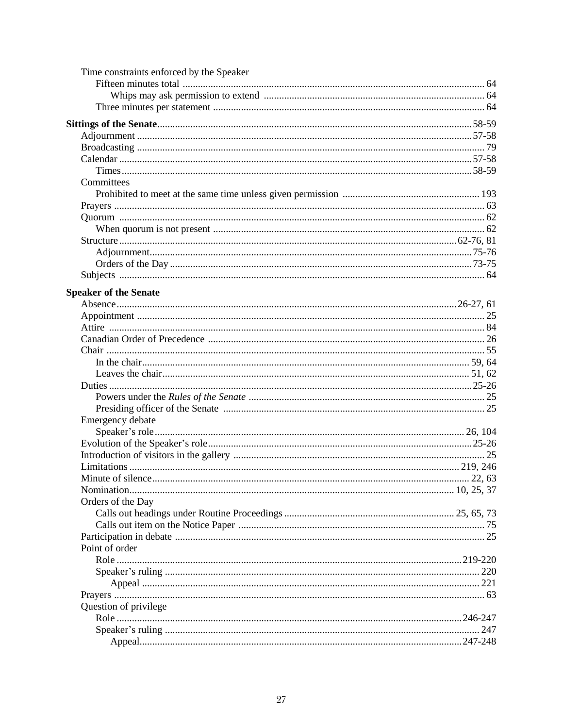| Time constraints enforced by the Speaker |         |
|------------------------------------------|---------|
|                                          |         |
|                                          |         |
|                                          |         |
|                                          |         |
|                                          |         |
|                                          |         |
|                                          |         |
|                                          |         |
|                                          |         |
| Committees                               |         |
|                                          |         |
|                                          |         |
|                                          |         |
|                                          |         |
|                                          |         |
|                                          |         |
|                                          |         |
|                                          |         |
| <b>Speaker of the Senate</b>             |         |
|                                          |         |
|                                          |         |
|                                          |         |
|                                          |         |
|                                          |         |
|                                          |         |
|                                          |         |
|                                          |         |
|                                          |         |
|                                          |         |
| Emergency debate                         |         |
|                                          |         |
|                                          |         |
|                                          |         |
|                                          |         |
|                                          |         |
| Minute of silence                        | .22, 63 |
|                                          |         |
| Orders of the Day                        |         |
|                                          |         |
|                                          |         |
|                                          |         |
| Point of order                           |         |
|                                          |         |
|                                          |         |
|                                          |         |
|                                          |         |
| Question of privilege                    |         |
|                                          |         |
|                                          | 247     |
|                                          |         |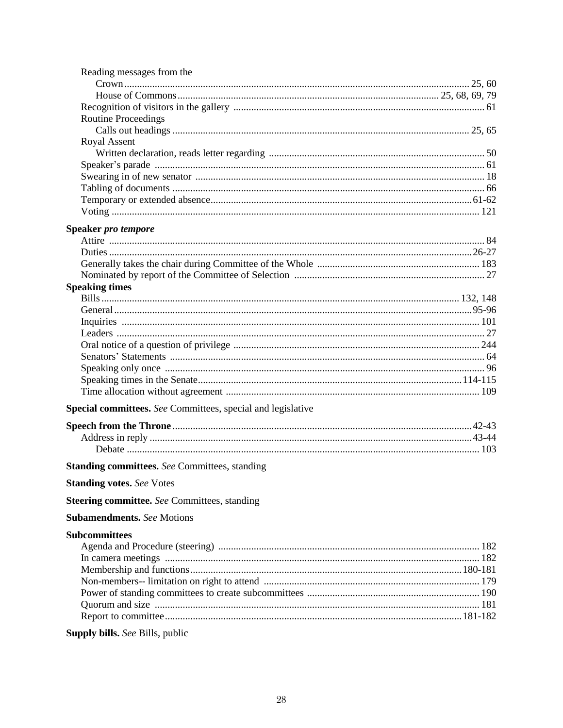| Reading messages from the                                   |  |
|-------------------------------------------------------------|--|
|                                                             |  |
|                                                             |  |
|                                                             |  |
| <b>Routine Proceedings</b>                                  |  |
|                                                             |  |
| Royal Assent                                                |  |
|                                                             |  |
|                                                             |  |
|                                                             |  |
|                                                             |  |
|                                                             |  |
|                                                             |  |
| <b>Speaker pro tempore</b>                                  |  |
|                                                             |  |
|                                                             |  |
|                                                             |  |
|                                                             |  |
| <b>Speaking times</b>                                       |  |
|                                                             |  |
|                                                             |  |
|                                                             |  |
|                                                             |  |
|                                                             |  |
|                                                             |  |
|                                                             |  |
|                                                             |  |
|                                                             |  |
| Special committees. See Committees, special and legislative |  |
|                                                             |  |
|                                                             |  |
|                                                             |  |
| <b>Standing committees.</b> See Committees, standing        |  |
| <b>Standing votes.</b> See Votes                            |  |
| <b>Steering committee.</b> See Committees, standing         |  |
|                                                             |  |
| <b>Subamendments.</b> See Motions                           |  |
| <b>Subcommittees</b>                                        |  |
|                                                             |  |
|                                                             |  |
|                                                             |  |
|                                                             |  |
|                                                             |  |
|                                                             |  |
|                                                             |  |
|                                                             |  |

### Supply bills. See Bills, public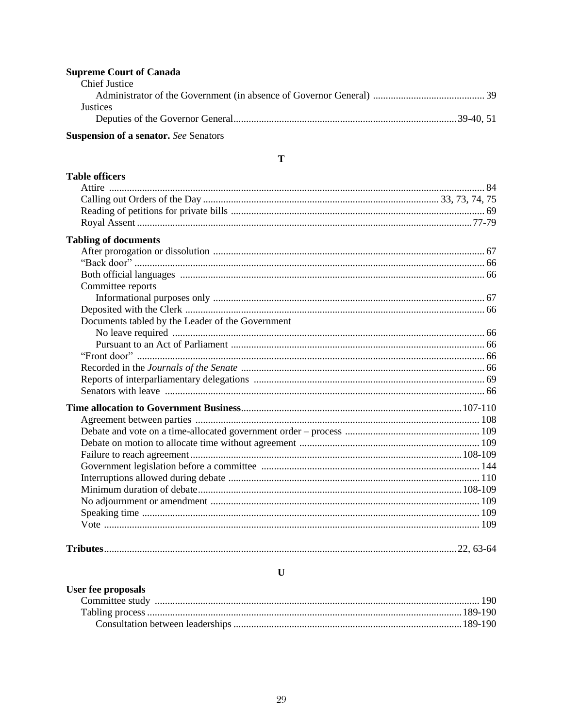### **Supreme Court of Canada**

| Chief Justice |  |
|---------------|--|
|               |  |
| Justices      |  |
|               |  |
|               |  |

### **Suspension of a senator.** See Senators

 $\mathbf T$ 

| <b>Table officers</b>                            |  |
|--------------------------------------------------|--|
|                                                  |  |
|                                                  |  |
|                                                  |  |
|                                                  |  |
| <b>Tabling of documents</b>                      |  |
|                                                  |  |
|                                                  |  |
|                                                  |  |
| Committee reports                                |  |
|                                                  |  |
|                                                  |  |
| Documents tabled by the Leader of the Government |  |
|                                                  |  |
|                                                  |  |
|                                                  |  |
|                                                  |  |
|                                                  |  |
|                                                  |  |
|                                                  |  |
|                                                  |  |
|                                                  |  |
|                                                  |  |
|                                                  |  |
|                                                  |  |
|                                                  |  |
|                                                  |  |
|                                                  |  |
|                                                  |  |
|                                                  |  |
|                                                  |  |
|                                                  |  |

### $\mathbf U$

### User fee proposals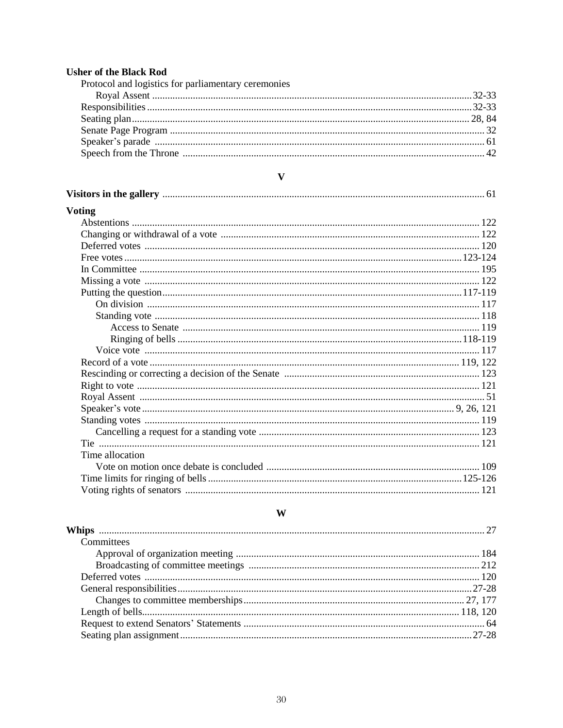# **Usher of the Black Rod**<br>Protocol and logistics for parliamentary cerent

| Protocol and logistics for parliamentary ceremonies |  |
|-----------------------------------------------------|--|
|                                                     |  |
|                                                     |  |
|                                                     |  |
|                                                     |  |
|                                                     |  |
|                                                     |  |
|                                                     |  |

#### $\mathbf{V}$

| <b>Voting</b>   |  |
|-----------------|--|
|                 |  |
|                 |  |
|                 |  |
|                 |  |
|                 |  |
|                 |  |
|                 |  |
|                 |  |
|                 |  |
|                 |  |
|                 |  |
|                 |  |
|                 |  |
|                 |  |
|                 |  |
|                 |  |
|                 |  |
|                 |  |
|                 |  |
|                 |  |
| Time allocation |  |
|                 |  |
|                 |  |
|                 |  |

### $\mathbf{W}$

| Committees |  |
|------------|--|
|            |  |
|            |  |
|            |  |
|            |  |
|            |  |
|            |  |
|            |  |
|            |  |